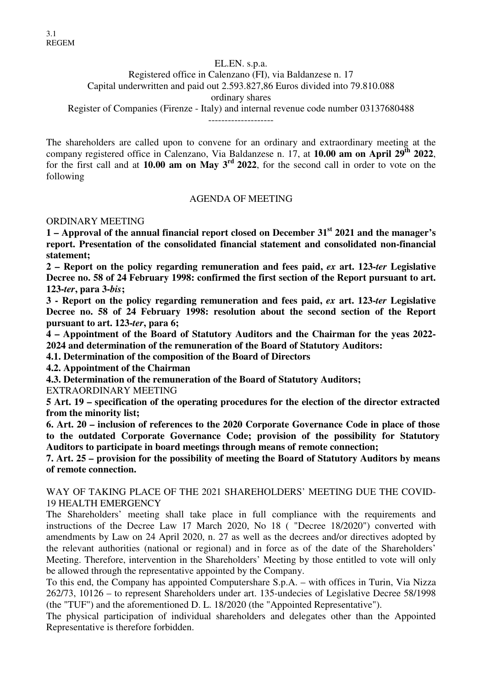EL.EN. s.p.a. Registered office in Calenzano (FI), via Baldanzese n. 17 Capital underwritten and paid out 2.593.827,86 Euros divided into 79.810.088 ordinary shares Register of Companies (Firenze - Italy) and internal revenue code number 03137680488 --------------------

The shareholders are called upon to convene for an ordinary and extraordinary meeting at the company registered office in Calenzano, Via Baldanzese n. 17, at **10.00 am on April 29th 2022**, for the first call and at **10.00 am on May 3rd 2022**, for the second call in order to vote on the following

#### AGENDA OF MEETING

ORDINARY MEETING

**1 – Approval of the annual financial report closed on December 31st 2021 and the manager's report. Presentation of the consolidated financial statement and consolidated non-financial statement;** 

**2 – Report on the policy regarding remuneration and fees paid,** *ex* **art. 123-***ter* **Legislative Decree no. 58 of 24 February 1998: confirmed the first section of the Report pursuant to art. 123-***ter***, para 3-***bis***;** 

**3 - Report on the policy regarding remuneration and fees paid,** *ex* **art. 123-***ter* **Legislative Decree no. 58 of 24 February 1998: resolution about the second section of the Report pursuant to art. 123-***ter***, para 6;** 

**4 – Appointment of the Board of Statutory Auditors and the Chairman for the yeas 2022- 2024 and determination of the remuneration of the Board of Statutory Auditors:** 

**4.1. Determination of the composition of the Board of Directors** 

**4.2. Appointment of the Chairman** 

**4.3. Determination of the remuneration of the Board of Statutory Auditors;** 

EXTRAORDINARY MEETING

**5 Art. 19 – specification of the operating procedures for the election of the director extracted from the minority list;** 

**6. Art. 20 – inclusion of references to the 2020 Corporate Governance Code in place of those to the outdated Corporate Governance Code; provision of the possibility for Statutory Auditors to participate in board meetings through means of remote connection;** 

**7. Art. 25 – provision for the possibility of meeting the Board of Statutory Auditors by means of remote connection.** 

WAY OF TAKING PLACE OF THE 2021 SHAREHOLDERS' MEETING DUE THE COVID-19 HEALTH EMERGENCY

The Shareholders' meeting shall take place in full compliance with the requirements and instructions of the Decree Law 17 March 2020, No 18 ( "Decree 18/2020") converted with amendments by Law on 24 April 2020, n. 27 as well as the decrees and/or directives adopted by the relevant authorities (national or regional) and in force as of the date of the Shareholders' Meeting. Therefore, intervention in the Shareholders' Meeting by those entitled to vote will only be allowed through the representative appointed by the Company.

To this end, the Company has appointed Computershare S.p.A. – with offices in Turin, Via Nizza 262/73, 10126 – to represent Shareholders under art. 135-undecies of Legislative Decree 58/1998 (the "TUF") and the aforementioned D. L. 18/2020 (the "Appointed Representative").

The physical participation of individual shareholders and delegates other than the Appointed Representative is therefore forbidden.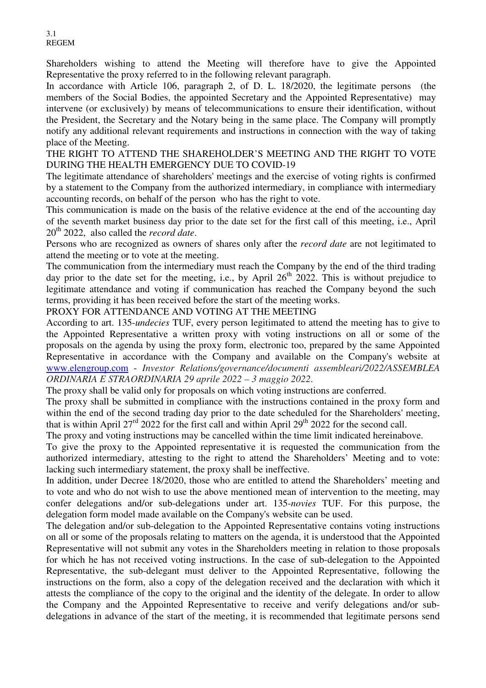Shareholders wishing to attend the Meeting will therefore have to give the Appointed Representative the proxy referred to in the following relevant paragraph.

In accordance with Article 106, paragraph 2, of D. L. 18/2020, the legitimate persons (the members of the Social Bodies, the appointed Secretary and the Appointed Representative) may intervene (or exclusively) by means of telecommunications to ensure their identification, without the President, the Secretary and the Notary being in the same place. The Company will promptly notify any additional relevant requirements and instructions in connection with the way of taking place of the Meeting.

THE RIGHT TO ATTEND THE SHAREHOLDER'S MEETING AND THE RIGHT TO VOTE DURING THE HEALTH EMERGENCY DUE TO COVID-19

The legitimate attendance of shareholders' meetings and the exercise of voting rights is confirmed by a statement to the Company from the authorized intermediary, in compliance with intermediary accounting records, on behalf of the person who has the right to vote.

This communication is made on the basis of the relative evidence at the end of the accounting day of the seventh market business day prior to the date set for the first call of this meeting, i.e., April 20th 2022, also called the *record date*.

Persons who are recognized as owners of shares only after the *record date* are not legitimated to attend the meeting or to vote at the meeting.

The communication from the intermediary must reach the Company by the end of the third trading day prior to the date set for the meeting, i.e., by April  $26<sup>th</sup>$  2022. This is without prejudice to legitimate attendance and voting if communication has reached the Company beyond the such terms, providing it has been received before the start of the meeting works.

PROXY FOR ATTENDANCE AND VOTING AT THE MEETING

According to art. 135-*undecies* TUF, every person legitimated to attend the meeting has to give to the Appointed Representative a written proxy with voting instructions on all or some of the proposals on the agenda by using the proxy form, electronic too, prepared by the same Appointed Representative in accordance with the Company and available on the Company's website at www.elengroup.com - *Investor Relations/governance/documenti assembleari/2022/ASSEMBLEA ORDINARIA E STRAORDINARIA 29 aprile 2022 – 3 maggio 2022*.

The proxy shall be valid only for proposals on which voting instructions are conferred.

The proxy shall be submitted in compliance with the instructions contained in the proxy form and within the end of the second trading day prior to the date scheduled for the Shareholders' meeting, that is within April 27<sup>rd</sup> 2022 for the first call and within April 29<sup>th</sup> 2022 for the second call.

The proxy and voting instructions may be cancelled within the time limit indicated hereinabove.

To give the proxy to the Appointed representative it is requested the communication from the authorized intermediary, attesting to the right to attend the Shareholders' Meeting and to vote: lacking such intermediary statement, the proxy shall be ineffective.

In addition, under Decree 18/2020, those who are entitled to attend the Shareholders' meeting and to vote and who do not wish to use the above mentioned mean of intervention to the meeting, may confer delegations and/or sub-delegations under art. 135-*novies* TUF. For this purpose, the delegation form model made available on the Company's website can be used.

The delegation and/or sub-delegation to the Appointed Representative contains voting instructions on all or some of the proposals relating to matters on the agenda, it is understood that the Appointed Representative will not submit any votes in the Shareholders meeting in relation to those proposals for which he has not received voting instructions. In the case of sub-delegation to the Appointed Representative, the sub-delegant must deliver to the Appointed Representative, following the instructions on the form, also a copy of the delegation received and the declaration with which it attests the compliance of the copy to the original and the identity of the delegate. In order to allow the Company and the Appointed Representative to receive and verify delegations and/or subdelegations in advance of the start of the meeting, it is recommended that legitimate persons send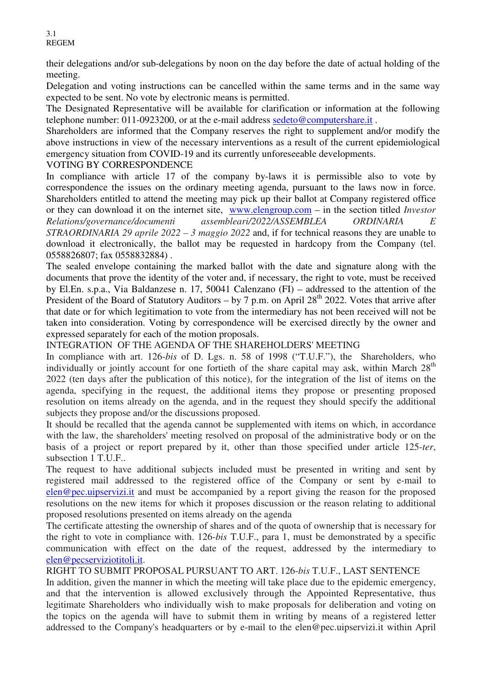their delegations and/or sub-delegations by noon on the day before the date of actual holding of the meeting.

Delegation and voting instructions can be cancelled within the same terms and in the same way expected to be sent. No vote by electronic means is permitted.

The Designated Representative will be available for clarification or information at the following telephone number: 011-0923200, or at the e-mail address sedeto@computershare.it .

Shareholders are informed that the Company reserves the right to supplement and/or modify the above instructions in view of the necessary interventions as a result of the current epidemiological emergency situation from COVID-19 and its currently unforeseeable developments.

## VOTING BY CORRESPONDENCE

In compliance with article 17 of the company by-laws it is permissible also to vote by correspondence the issues on the ordinary meeting agenda, pursuant to the laws now in force. Shareholders entitled to attend the meeting may pick up their ballot at Company registered office or they can download it on the internet site, www.elengroup.com – in the section titled *Investor Relations/governance/documenti assembleari/2022/ASSEMBLEA ORDINARIA E STRAORDINARIA 29 aprile 2022 – 3 maggio 2022* and, if for technical reasons they are unable to download it electronically, the ballot may be requested in hardcopy from the Company (tel. 0558826807; fax 0558832884) .

The sealed envelope containing the marked ballot with the date and signature along with the documents that prove the identity of the voter and, if necessary, the right to vote, must be received by El.En. s.p.a., Via Baldanzese n. 17, 50041 Calenzano (FI) – addressed to the attention of the President of the Board of Statutory Auditors – by 7 p.m. on April  $28<sup>th</sup>$  2022. Votes that arrive after that date or for which legitimation to vote from the intermediary has not been received will not be taken into consideration. Voting by correspondence will be exercised directly by the owner and expressed separately for each of the motion proposals.

INTEGRATION OF THE AGENDA OF THE SHAREHOLDERS' MEETING

In compliance with art. 126-*bis* of D. Lgs. n. 58 of 1998 ("T.U.F."), the Shareholders, who individually or jointly account for one fortieth of the share capital may ask, within March  $28<sup>th</sup>$ 2022 (ten days after the publication of this notice), for the integration of the list of items on the agenda, specifying in the request, the additional items they propose or presenting proposed resolution on items already on the agenda, and in the request they should specify the additional subjects they propose and/or the discussions proposed.

It should be recalled that the agenda cannot be supplemented with items on which, in accordance with the law, the shareholders' meeting resolved on proposal of the administrative body or on the basis of a project or report prepared by it, other than those specified under article 125-*ter*, subsection 1 T.U.F..

The request to have additional subjects included must be presented in writing and sent by registered mail addressed to the registered office of the Company or sent by e-mail to elen@pec.uipservizi.it and must be accompanied by a report giving the reason for the proposed resolutions on the new items for which it proposes discussion or the reason relating to additional proposed resolutions presented on items already on the agenda

The certificate attesting the ownership of shares and of the quota of ownership that is necessary for the right to vote in compliance with. 126-*bis* T.U.F., para 1, must be demonstrated by a specific communication with effect on the date of the request, addressed by the intermediary to elen@pecserviziotitoli.it.

RIGHT TO SUBMIT PROPOSAL PURSUANT TO ART. 126-*bis* T.U.F., LAST SENTENCE

In addition, given the manner in which the meeting will take place due to the epidemic emergency, and that the intervention is allowed exclusively through the Appointed Representative, thus legitimate Shareholders who individually wish to make proposals for deliberation and voting on the topics on the agenda will have to submit them in writing by means of a registered letter addressed to the Company's headquarters or by e-mail to the elen@pec.uipservizi.it within April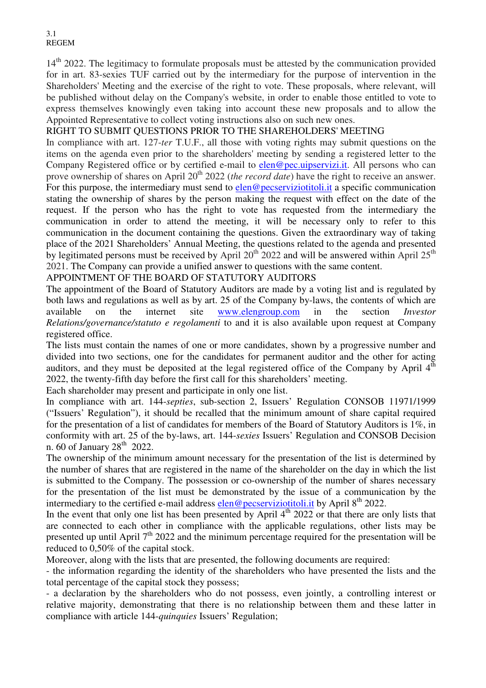14<sup>th</sup> 2022. The legitimacy to formulate proposals must be attested by the communication provided for in art. 83-sexies TUF carried out by the intermediary for the purpose of intervention in the Shareholders' Meeting and the exercise of the right to vote. These proposals, where relevant, will be published without delay on the Company's website, in order to enable those entitled to vote to express themselves knowingly even taking into account these new proposals and to allow the Appointed Representative to collect voting instructions also on such new ones.

# RIGHT TO SUBMIT QUESTIONS PRIOR TO THE SHAREHOLDERS' MEETING

In compliance with art. 127-*ter* T.U.F., all those with voting rights may submit questions on the items on the agenda even prior to the shareholders' meeting by sending a registered letter to the Company Registered office or by certified e-mail to elen@pec.uipservizi.it. All persons who can prove ownership of shares on April 20<sup>th</sup> 2022 (*the record date*) have the right to receive an answer. For this purpose, the intermediary must send to elen@pecserviziotitoli.it a specific communication stating the ownership of shares by the person making the request with effect on the date of the request. If the person who has the right to vote has requested from the intermediary the communication in order to attend the meeting, it will be necessary only to refer to this communication in the document containing the questions. Given the extraordinary way of taking place of the 2021 Shareholders' Annual Meeting, the questions related to the agenda and presented by legitimated persons must be received by April  $20^{th}$  2022 and will be answered within April  $25^{th}$ 2021. The Company can provide a unified answer to questions with the same content.

### APPOINTMENT OF THE BOARD OF STATUTORY AUDITORS

The appointment of the Board of Statutory Auditors are made by a voting list and is regulated by both laws and regulations as well as by art. 25 of the Company by-laws, the contents of which are available on the internet site www.elengroup.com in the section *Investor Relations/governance/statuto e regolamenti* to and it is also available upon request at Company registered office.

The lists must contain the names of one or more candidates, shown by a progressive number and divided into two sections, one for the candidates for permanent auditor and the other for acting auditors, and they must be deposited at the legal registered office of the Company by April 4<sup>th</sup> 2022, the twenty-fifth day before the first call for this shareholders' meeting.

Each shareholder may present and participate in only one list.

In compliance with art. 144-*septies*, sub-section 2, Issuers' Regulation CONSOB 11971/1999 ("Issuers' Regulation"), it should be recalled that the minimum amount of share capital required for the presentation of a list of candidates for members of the Board of Statutory Auditors is 1%, in conformity with art. 25 of the by-laws, art. 144-*sexies* Issuers' Regulation and CONSOB Decision n. 60 of January  $28<sup>th</sup>$  2022.

The ownership of the minimum amount necessary for the presentation of the list is determined by the number of shares that are registered in the name of the shareholder on the day in which the list is submitted to the Company. The possession or co-ownership of the number of shares necessary for the presentation of the list must be demonstrated by the issue of a communication by the intermediary to the certified e-mail address elen@pecserviziotitoli.it by April  $8<sup>th</sup>$  2022.

In the event that only one list has been presented by April  $4<sup>th</sup> 2022$  or that there are only lists that are connected to each other in compliance with the applicable regulations, other lists may be presented up until April  $7<sup>th</sup>$  2022 and the minimum percentage required for the presentation will be reduced to 0,50% of the capital stock.

Moreover, along with the lists that are presented, the following documents are required:

- the information regarding the identity of the shareholders who have presented the lists and the total percentage of the capital stock they possess;

- a declaration by the shareholders who do not possess, even jointly, a controlling interest or relative majority, demonstrating that there is no relationship between them and these latter in compliance with article 144-*quinquies* Issuers' Regulation;